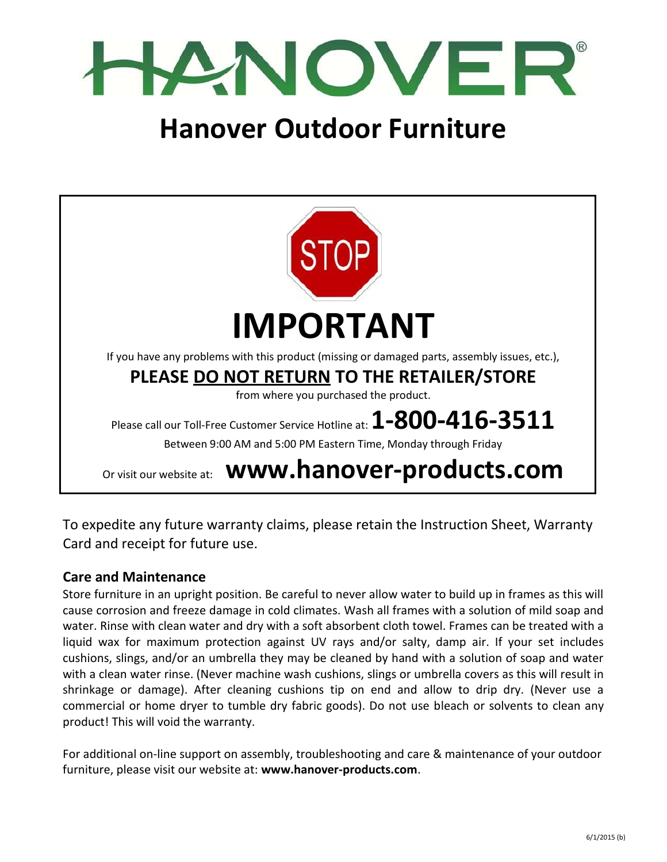

# **Hanover Outdoor Furniture**



To expedite any future warranty claims, please retain the Instruction Sheet, Warranty Card and receipt for future use.

#### **Care and Maintenance**

Store furniture in an upright position. Be careful to never allow water to build up in frames as this will cause corrosion and freeze damage in cold climates. Wash all frames with a solution of mild soap and water. Rinse with clean water and dry with a soft absorbent cloth towel. Frames can be treated with a liquid wax for maximum protection against UV rays and/or salty, damp air. If your set includes cushions, slings, and/or an umbrella they may be cleaned by hand with a solution of soap and water with a clean water rinse. (Never machine wash cushions, slings or umbrella covers as this will result in shrinkage or damage). After cleaning cushions tip on end and allow to drip dry. (Never use a commercial or home dryer to tumble dry fabric goods). Do not use bleach or solvents to clean any product! This will void the warranty.

For additional on‐line support on assembly, troubleshooting and care & maintenance of your outdoor furniture, please visit our website at: **www.hanover‐products.com**.